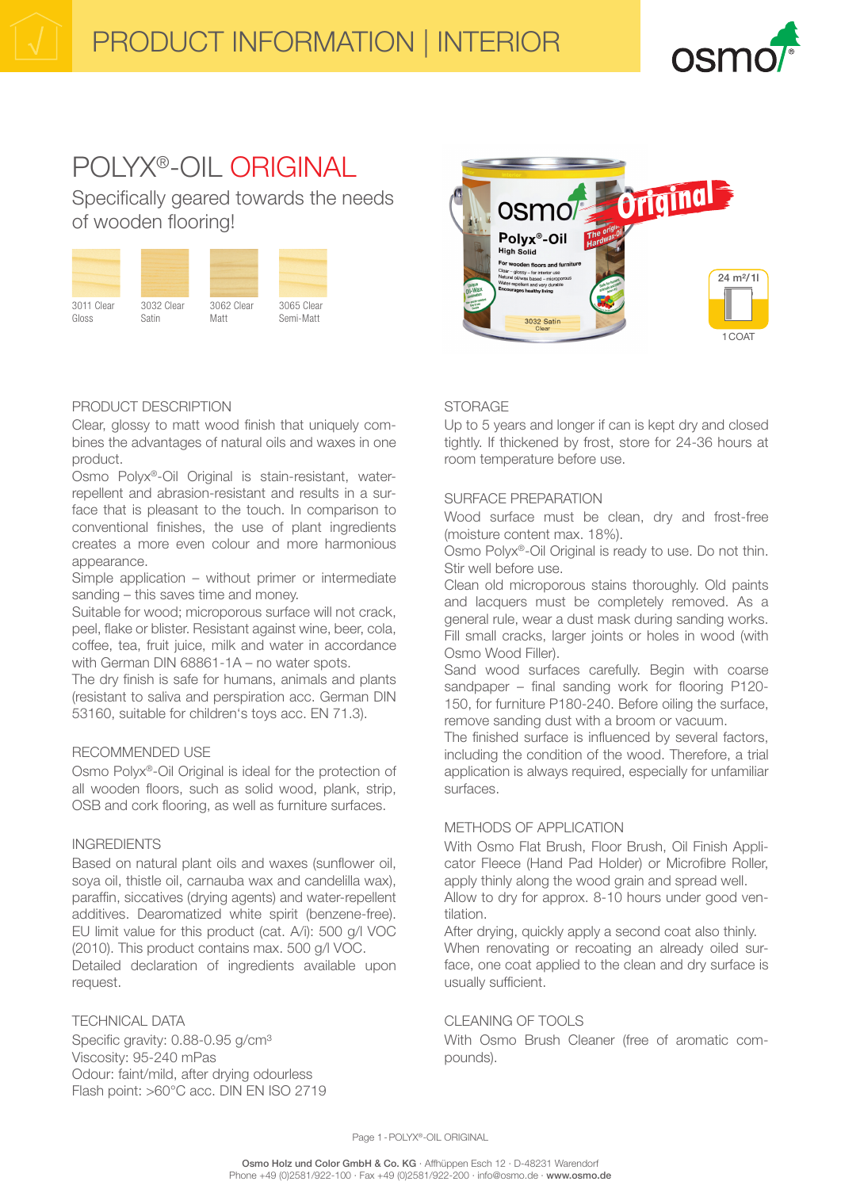

1COAT

24 m²/ 1l

# POLYX®-OIL ORIGINAL

Specifically geared towards the needs of wooden flooring!





Polyx®-Oil High Solid

# PRODUCT DESCRIPTION

Clear, glossy to matt wood finish that uniquely combines the advantages of natural oils and waxes in one product.

Osmo Polyx®-Oil Original is stain-resistant, waterrepellent and abrasion-resistant and results in a surface that is pleasant to the touch. In comparison to conventional finishes, the use of plant ingredients creates a more even colour and more harmonious appearance.

Simple application – without primer or intermediate sanding – this saves time and money.

Suitable for wood; microporous surface will not crack, peel, flake or blister. Resistant against wine, beer, cola, coffee, tea, fruit juice, milk and water in accordance with German DIN 68861-1A – no water spots.

The dry finish is safe for humans, animals and plants (resistant to saliva and perspiration acc. German DIN 53160, suitable for children's toys acc. EN 71.3).

## RECOMMENDED USE

Osmo Polyx®-Oil Original is ideal for the protection of all wooden floors, such as solid wood, plank, strip, OSB and cork flooring, as well as furniture surfaces.

## INGREDIENTS

Based on natural plant oils and waxes (sunflower oil, soya oil, thistle oil, carnauba wax and candelilla wax), paraffin, siccatives (drying agents) and water-repellent additives. Dearomatized white spirit (benzene-free). EU limit value for this product (cat. A/i): 500 g/l VOC (2010). This product contains max. 500 g/l VOC. Detailed declaration of ingredients available upon request.

# TECHNICAL DATA

Specific gravity: 0.88-0.95 g/cm<sup>3</sup> Viscosity: 95-240 mPas Odour: faint/mild, after drying odourless Flash point: >60°C acc. DIN EN ISO 2719

# **STORAGE**

Up to 5 years and longer if can is kept dry and closed tightly. If thickened by frost, store for 24-36 hours at room temperature before use.

**Osmo<sup>p</sup> Original** 

## SURFACE PREPARATION

Wood surface must be clean, dry and frost-free (moisture content max. 18%).

Osmo Polyx®-Oil Original is ready to use. Do not thin. Stir well before use.

Clean old microporous stains thoroughly. Old paints and lacquers must be completely removed. As a general rule, wear a dust mask during sanding works. Fill small cracks, larger joints or holes in wood (with Osmo Wood Filler).

Sand wood surfaces carefully. Begin with coarse sandpaper – final sanding work for flooring P120- 150, for furniture P180-240. Before oiling the surface, remove sanding dust with a broom or vacuum.

The finished surface is influenced by several factors, including the condition of the wood. Therefore, a trial application is always required, especially for unfamiliar surfaces.

# METHODS OF APPLICATION

With Osmo Flat Brush, Floor Brush, Oil Finish Applicator Fleece (Hand Pad Holder) or Microfibre Roller, apply thinly along the wood grain and spread well. Allow to dry for approx. 8-10 hours under good ventilation.

After drying, quickly apply a second coat also thinly. When renovating or recoating an already oiled surface, one coat applied to the clean and dry surface is usually sufficient.

# CLEANING OF TOOLS

With Osmo Brush Cleaner (free of aromatic compounds).